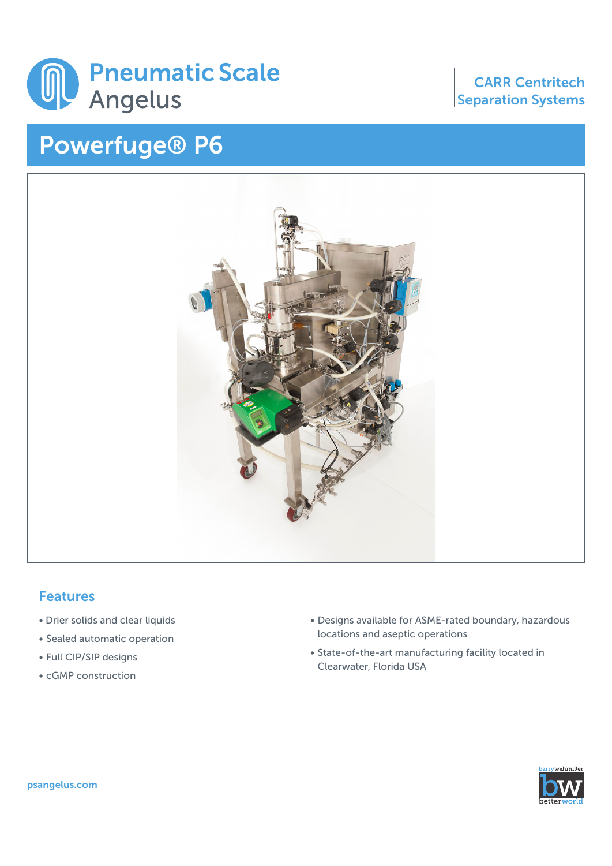

## Powerfuge® P6

## CARR Centritech Separation Systems



## Features

- Drier solids and clear liquids
- Sealed automatic operation
- Full CIP/SIP designs
- cGMP construction
- Designs available for ASME-rated boundary, hazardous locations and aseptic operations
- State-of-the-art manufacturing facility located in Clearwater, Florida USA